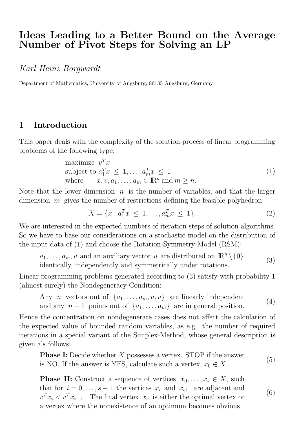# Ideas Leading to a Better Bound on the Average Number of Pivot Steps for Solving an LP

Karl Heinz Borgwardt

Department of Mathematics, University of Augsburg, 86135 Augsburg, Germany

## 1 Introduction

This paper deals with the complexity of the solution-process of linear programming problems of the following type:

maximize 
$$
v^T x
$$
  
\nsubject to  $a_1^T x \le 1, ..., a_m^T x \le 1$   
\nwhere  $x, v, a_1, ..., a_m \in \mathbb{R}^n$  and  $m \ge n$ . (1)

Note that the lower dimension  $n$  is the number of variables, and that the larger dimension  $m$  gives the number of restrictions defining the feasible polyhedron

$$
X = \{x \mid a_1^T x \le 1, \dots, a_m^T x \le 1\}.
$$
\n(2)

We are interested in the expected numbers of iteration steps of solution algorithms. So we have to base our considerations on a stochastic model on the distribution of the input data of (1) and choose the Rotation-Symmetry-Model (RSM):

 $a_1, \ldots, a_m, v$  and an auxiliary vector u are distributed on  $\mathbb{R}^n \setminus \{0\}$ identically, independently and symmetrically under rotations.  $(3)$ 

Linear programming problems generated according to (3) satisfy with probability 1 (almost surely) the Nondegeneracy-Condition:

Any *n* vectors out of  $\{a_1, \ldots, a_m, u, v\}$  are linearly independent and any  $n + 1$  points out of  $\{a_1, \ldots, a_m\}$  are in general position. (4)

Hence the concentration on nondegenerate cases does not affect the calculation of the expected value of bounded random variables, as e.g. the number of required iterations in a special variant of the Simplex-Method, whose general description is given als follows:

**Phase I:** Decide whether X possesses a vertex. STOP if the answer is NO. If the answer is YES, calculate such a vertex  $x_0 \in X$ . (5)

**Phase II:** Construct a sequence of vertices  $x_0, \ldots, x_s \in X$ , such that for  $i = 0, \ldots, s-1$  the vertices  $x_i$  and  $x_{i+1}$  are adjacent and  $v^T x_i < v^T x_{i+1}$ . The final vertex  $x_s$  is either the optimal vertex or a vertex where the nonexistence of an optimum becomes obvious. (6)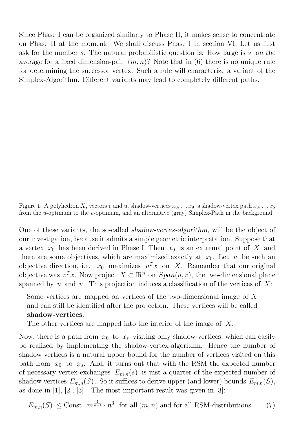Since Phase I can be organized similarly to Phase II, it makes sense to concentrate on Phase II at the moment. We shall discuss Phase I in section VI. Let us first ask for the number s. The natural probabilistic question is: How large is s on the average for a fixed dimension-pair  $(m, n)$ ? Note that in (6) there is no unique rule for determining the successor vertex. Such a rule will characterize a variant of the Simplex-Algorithm. Different variants may lead to completely different paths.

Figure 1: A polyhedron X, vectors v and u, shadow-vertices  $x_0, \ldots x_9$ , a shadow-vertex path  $x_0, \ldots x_5$ from the u-optimum to the v-optimum, and an alternative (gray) Simplex-Path in the background.

One of these variants, the so-called shadow-vertex-algorithm, will be the object of our investigation, because it admits a simple geometric interpretation. Suppose that a vertex  $x_0$  has been derived in Phase I. Then  $x_0$  is an extremal point of X and there are some objectives, which are maximized exactly at  $x_0$ . Let u be such an objective direction, i.e.  $x_0$  maximizes  $u^T x$  on X. Remember that our original objective was  $v^T x$ . Now project  $X \subset \mathbb{R}^n$  on  $Span(u, v)$ , the two-dimensional plane spanned by u and v. This projection induces a classification of the vertices of  $X$ :

Some vertices are mapped on vertices of the two-dimensional image of X and can still be identified after the projection. These vertices will be called shadow-vertices.

The other vertices are mapped into the interior of the image of X.

Now, there is a path from  $x_0$  to  $x_s$  visiting only shadow-vertices, which can easily be realized by implementing the shadow-vertex-algorithm. Hence the number of shadow vertices is a natural upper bound for the number of vertices visited on this path from  $x_0$  to  $x_s$ . And, it turns out that with the RSM the expected number of necessary vertex-exchanges  $E_{m,n}(s)$  is just a quarter of the expected number of shadow vertices  $E_{m,n}(S)$ . So it suffices to derive upper (and lower) bounds  $E_{m,n}(S)$ , as done in  $[1], [2], [3]$ . The most important result was given in  $[3]$ :

$$
E_{m,n}(S) \leq \text{Const. } m^{\frac{1}{n-1}} \cdot n^3 \text{ for all } (m,n) \text{ and for all RSM-distributions.} \tag{7}
$$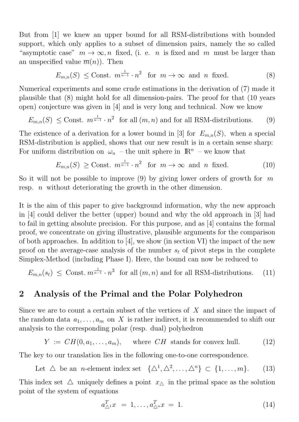But from [1] we knew an upper bound for all RSM-distributions with bounded support, which only applies to a subset of dimension pairs, namely the so called "asymptotic case"  $m \to \infty$ , n fixed, (i. e. n is fixed and m must be larger than an unspecified value  $\overline{m}(n)$ . Then

$$
E_{m,n}(S) \leq \text{Const. } m^{\frac{1}{n-1}} \cdot n^2 \quad \text{for } m \to \infty \text{ and } n \text{ fixed.} \tag{8}
$$

Numerical experiments and some crude estimations in the derivation of (7) made it plausible that (8) might hold for all dimension-pairs. The proof for that (10 years open) conjecture was given in [4] and is very long and technical. Now we know

$$
E_{m,n}(S) \leq \text{Const. } m^{\frac{1}{n-1}} \cdot n^2 \text{ for all } (m,n) \text{ and for all RSM-distributions.} \tag{9}
$$

The existence of a derivation for a lower bound in [3] for  $E_{m,n}(S)$ , when a special RSM-distribution is applied, shows that our new result is in a certain sense sharp: For uniform distribution on  $\omega_n$  – the unit sphere in  $\mathbb{R}^n$  – we know that

$$
E_{m,n}(S) \geq \text{Const. } m^{\frac{1}{n-1}} \cdot n^2 \quad \text{for } m \to \infty \text{ and } n \text{ fixed.} \tag{10}
$$

So it will not be possible to improve (9) by giving lower orders of growth for  $m$ resp. *n* without deteriorating the growth in the other dimension.

It is the aim of this paper to give background information, why the new approach in [4] could deliver the better (upper) bound and why the old approach in [3] had to fail in getting absolute precision. For this purpose, and as [4] contains the formal proof, we concentrate on giving illustrative, plausible arguments for the comparison of both approaches. In addition to [4], we show (in section VI) the impact of the new proof on the average-case analysis of the number  $s_t$  of pivot steps in the complete Simplex-Method (including Phase I). Here, the bound can now be reduced to

$$
E_{m,n}(s_t) \leq \text{Const. } m^{\frac{1}{n-1}} \cdot n^3 \text{ for all } (m,n) \text{ and for all RSM-distributions.} \tag{11}
$$

#### 2 Analysis of the Primal and the Polar Polyhedron

Since we are to count a certain subset of the vertices of  $X$  and since the impact of the random data  $a_1, \ldots, a_m$  on X is rather indirect, it is recommended to shift our analysis to the corresponding polar (resp. dual) polyhedron

$$
Y := CH(0, a_1, \dots, a_m), \quad \text{where } CH \text{ stands for convex hull.} \tag{12}
$$

The key to our translation lies in the following one-to-one correspondence.

Let  $\triangle$  be an *n*-element index set  $\{\triangle^1, \triangle^2, \ldots, \triangle^n\} \subset \{1, \ldots, m\}.$  (13)

This index set  $\Delta$  uniquely defines a point  $x_{\Delta}$  in the primal space as the solution point of the system of equations

$$
a_{\triangle^1}^T x = 1, \dots, a_{\triangle^n}^T x = 1. \tag{14}
$$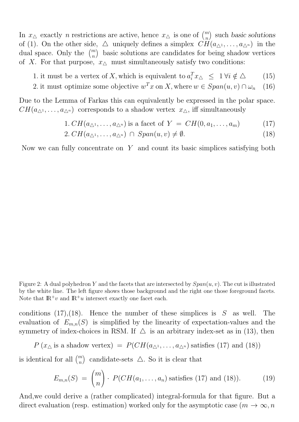In  $x_{\Delta}$  exactly *n* restrictions are active, hence  $x_{\Delta}$  is one of  $\binom{m}{n}$ ) such basic solutions of (1). On the other side,  $\Delta$  uniquely defines a simplex  $CH(a_{\Delta^1}, \ldots, a_{\Delta^n})$  in the dual space. Only the  $\binom{m}{n}$  basic solutions are candidates for being shadow vertices of X. For that purpose,  $x_{\Delta}$  must simultaneously satisfy two conditions:

- 1. it must be a vertex of X, which is equivalent to  $a_i^T x_{\Delta} \leq 1 \forall i \notin \Delta$  (15)
- 2. it must optimize some objective  $w^T x$  on X, where  $w \in Span(u, v) \cap \omega_n$  (16)

Due to the Lemma of Farkas this can equivalently be expressed in the polar space.  $CH(a_{\Delta^1}, \ldots, a_{\Delta^n})$  corresponds to a shadow vertex  $x_{\Delta}$ , iff simultaneously

1. 
$$
CH(a_{\triangle^1}, \ldots, a_{\triangle^n})
$$
 is a facet of  $Y = CH(0, a_1, \ldots, a_m)$  (17)

$$
2. CH(a_{\triangle^1}, \dots, a_{\triangle^n}) \cap Span(u, v) \neq \emptyset.
$$
\n
$$
(18)
$$

Now we can fully concentrate on  $Y$  and count its basic simplices satisfying both

Figure 2: A dual polyhedron Y and the facets that are intersected by  $Span(u, v)$ . The cut is illustrated by the white line. The left figure shows those background and the right one those foreground facets. Note that  $\mathbb{R}^+v$  and  $\mathbb{R}^+u$  intersect exactly one facet each.

conditions (17), (18). Hence the number of these simplices is  $S$  as well. The evaluation of  $E_{m,n}(S)$  is simplified by the linearity of expectation-values and the symmetry of index-choices in RSM. If  $\triangle$  is an arbitrary index-set as in (13), then

$$
P(x_{\Delta} \text{ is a shadow vertex}) = P(CH(a_{\Delta^1}, \ldots, a_{\Delta^n}) \text{ satisfies (17) and (18))}
$$

is identical for all  $\binom{m}{n}$ ) candidate-sets  $\triangle$ . So it is clear that

$$
E_{m,n}(S) = {m \choose n} \cdot P(CH(a_1, \ldots, a_n) \text{ satisfies (17) and (18))}.
$$
 (19)

And,we could derive a (rather complicated) integral-formula for that figure. But a direct evaluation (resp. estimation) worked only for the asymptotic case  $(m \to \infty, n$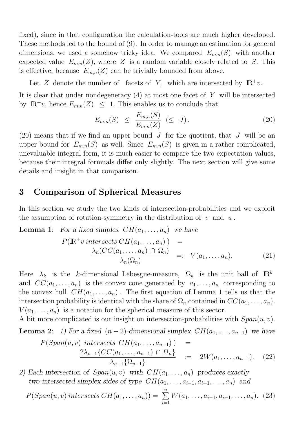fixed), since in that configuration the calculation-tools are much higher developed. These methods led to the bound of (9). In order to manage an estimation for general dimensions, we used a somehow tricky idea. We compared  $E_{m,n}(S)$  with another expected value  $E_{m,n}(Z)$ , where Z is a random variable closely related to S. This is effective, because  $E_{m,n}(Z)$  can be trivially bounded from above.

Let Z denote the number of facets of Y, which are intersected by  $\mathbb{R}^+v$ .

It is clear that under nondegeneracy  $(4)$  at most one facet of Y will be intersected by  $\mathbb{R}^+v$ , hence  $E_{m,n}(Z) \leq 1$ . This enables us to conclude that

$$
E_{m,n}(S) \leq \frac{E_{m,n}(S)}{E_{m,n}(Z)} \quad (\leq J). \tag{20}
$$

(20) means that if we find an upper bound  $J$  for the quotient, that  $J$  will be an upper bound for  $E_{m,n}(S)$  as well. Since  $E_{m,n}(S)$  is given in a rather complicated, unevaluable integral form, it is much easier to compare the two expectation values, because their integral formuals differ only slightly. The next section will give some details and insight in that comparison.

### 3 Comparison of Spherical Measures

In this section we study the two kinds of intersection-probabilities and we exploit the assumption of rotation-symmetry in the distribution of  $v$  and  $u$ .

**Lemma 1:** For a fixed simplex  $CH(a_1, \ldots, a_n)$  we have  $P(\mathbb{R}^+ \textit{v} intersects CH(a_1, \ldots, a_n)) =$  $\lambda_n(CC(a_1, \ldots, a_n) \cap \Omega_n)$  $=: V(a_1, \ldots, a_n).$  (21)

 $\lambda_n(\Omega_n)$ 

Here  $\lambda_k$  is the k-dimensional Lebesgue-measure,  $\Omega_k$  is the unit ball of  $\mathbb{R}^k$ and  $CC(a_1, \ldots, a_n)$  is the convex cone generated by  $a_1, \ldots, a_n$  corresponding to the convex hull  $CH(a_1, \ldots, a_n)$ . The first equation of Lemma 1 tells us that the intersection probability is identical with the share of  $\Omega_n$  contained in  $CC(a_1, \ldots, a_n)$ .  $V(a_1, \ldots, a_n)$  is a notation for the spherical measure of this sector.

A bit more complicated is our insight on intersection-probabilities with  $Span(u, v)$ . **Lemma 2:** 1) For a fixed  $(n-2)$ -dimensional simplex  $CH(a_1, \ldots, a_{n-1})$  we have

$$
P(Span(u, v) intersects CH(a1,..., an-1) ) =
$$
  

$$
\frac{2\lambda_{n-1} \{CC(a_1,..., a_{n-1}) \cap \Omega_n\}}{\lambda_{n-1} \{\Omega_{n-1}\}} = 2W(a_1,..., a_{n-1}).
$$
 (22)

2) Each intersection of  $Span(u, v)$  with  $CH(a_1, \ldots, a_n)$  produces exactly two intersected simplex sides of type  $CH(a_1, \ldots, a_{i-1}, a_{i+1}, \ldots, a_n)$  and

$$
P(Span(u, v) intersects CH(a_1, ..., a_n)) = \sum_{i=1}^{n} W(a_1, ..., a_{i-1}, a_{i+1}, ..., a_n).
$$
 (23)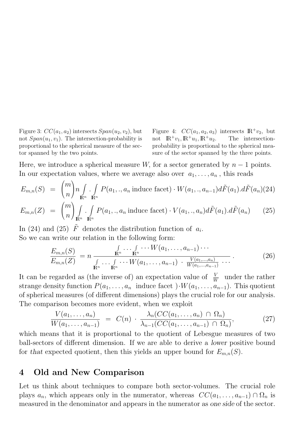Figure 3:  $CC(a_1, a_2)$  intersects  $Span(u_2, v_2)$ , but not  $Span(u_1, v_1)$ . The intersection-probability is proportional to the spherical measure of the sector spanned by the two points.

Figure 4:  $CC(a_1, a_2, a_3)$  intersects  $\mathbb{R}^+v_2$ , but not  $\mathbb{R}^+v_1,\mathbb{R}^+u_1,\mathbb{R}^+u_2$ . The intersectionprobability is proportional to the spherical measure of the sector spanned by the three points.

Here, we introduce a spherical measure W, for a sector generated by  $n-1$  points. In our expectation values, where we average also over  $a_1, \ldots, a_n$ , this reads

$$
E_{m,n}(S) = {m \choose n} n \int_{\mathbb{R}^n} \int_{\mathbb{R}^n} P(a_1,.,a_n \text{ induce facet}) \cdot W(a_1,.,a_{n-1}) d\tilde{F}(a_1) d\tilde{F}(a_n) (24)
$$
  

$$
E_{m,n}(Z) = {m \choose n} \int_{\mathbb{R}^n} \int_{\mathbb{R}^n} P(a_1,.,a_n \text{ induce facet}) \cdot V(a_1,.,a_n) d\tilde{F}(a_1) d\tilde{F}(a_n) \qquad (25)
$$

In (24) and (25)  $\tilde{F}$  denotes the distribution function of  $a_i$ . So we can write our relation in the following form:

$$
\frac{E_{m,n}(S)}{E_{m,n}(Z)} = n \frac{\int_{\mathbb{R}^n} \cdots \int_{\mathbb{R}^n} \cdots W(a_1, \ldots, a_{n-1}) \cdots}{\int_{\mathbb{R}^n} \cdots \int_{\mathbb{R}^n} \cdots W(a_1, \ldots, a_{n-1}) \cdot \frac{V(a_1, \ldots, a_n)}{W(a_1, \ldots, a_{n-1})} \cdots} \,. \tag{26}
$$

It can be regarded as (the inverse of) an expectation value of  $\frac{V}{W}$  under the rather strange density function  $P(a_1, \ldots, a_n)$  induce facet  $\cdot W(a_1, \ldots, a_{n-1})$ . This quotient of spherical measures (of different dimensions) plays the crucial role for our analysis. The comparison becomes more evident, when we exploit

$$
\frac{V(a_1,\ldots,a_n)}{W(a_1,\ldots,a_{n-1})} = C(n) \cdot \frac{\lambda_n(CC(a_1,\ldots,a_n) \cap \Omega_n)}{\lambda_{n-1}(CC(a_1,\ldots,a_{n-1}) \cap \Omega_n)},
$$
\n(27)

which means that it is proportional to the quotient of Lebesgue measures of two ball-sectors of different dimension. If we are able to derive a lower positive bound for that expected quotient, then this yields an upper bound for  $E_{m,n}(S)$ .

#### 4 Old and New Comparison

Let us think about techniques to compare both sector-volumes. The crucial role plays  $a_n$ , which appears only in the numerator, whereas  $CC(a_1, \ldots, a_{n-1}) \cap \Omega_n$  is measured in the denominator and appears in the numerator as one side of the sector.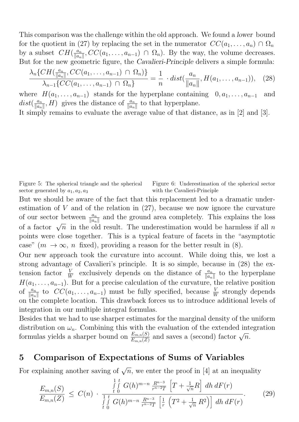This comparison was the challenge within the old approach. We found a lower bound for the quotient in (27) by replacing the set in the numerator  $CC(a_1, \ldots, a_n) \cap \Omega_n$ by a subset  $CH(\frac{a_n}{\|a\|})$  $\frac{a_n}{\|a_n\|}$ ,  $CC(a_1, \ldots, a_{n-1}) \cap \Omega_n$ ). By the way, the volume decreases. But for the new geometric figure, the *Cavalieri-Principle* delivers a simple formula:

$$
\frac{\lambda_n\{CH(\frac{a_n}{\|a_n\|}, CC(a_1, \ldots, a_{n-1}) \cap \Omega_n)\}}{\lambda_{n-1}\{CC(a_1, \ldots, a_{n-1}) \cap \Omega_n\}} = \frac{1}{n} \cdot dist(\frac{a_n}{\|a_n\|}, H(a_1, \ldots, a_{n-1})), \quad (28)
$$

where  $H(a_1, \ldots, a_{n-1})$  stands for the hyperplane containing  $0, a_1, \ldots, a_{n-1}$  and  $dist(\frac{a_n}{\|a\|})$  $\frac{a_n}{\|a_n\|}, H$ ) gives the distance of  $\frac{a_n}{\|a_n\|}$  to that hyperplane.

It simply remains to evaluate the average value of that distance, as in [2] and [3].

Figure 5: The spherical triangle and the spherical sector generated by  $a_1, a_2, a_3$ Figure 6: Underestimation of the spherical sector with the Cavalieri-Principle

But we should be aware of the fact that this replacement led to a dramatic underestimation of  $V$  and of the relation in  $(27)$ , because we now ignore the curvature of our sector between  $\frac{a_n}{\|a_n\|}$  and the ground area completely. This explains the loss of a factor  $\sqrt{n}$  in the old result. The underestimation would be harmless if all n points were close together. This is a typical feature of facets in the "asymptotic case" ( $m \to \infty$ , n fixed), providing a reason for the better result in (8).

Our new approach took the curvature into account. While doing this, we lost a strong advantage of Cavalieri's principle. It is so simple, because in (28) the extension factor  $\frac{V}{W}$  exclusively depends on the distance of  $\frac{a_n}{\|a_n\|}$  to the hyperplane  $H(a_1, \ldots, a_{n-1})$ . But for a precise calculation of the curvature, the relative position of  $\frac{a_n}{\|a_n\|}$  to  $CC(a_1, \ldots, a_{n-1})$  must be fully specified, because  $\frac{V}{W}$  strongly depends on the complete location. This drawback forces us to introduce additional levels of integration in our multiple integral formulas.

Besides that we had to use sharper estimates for the marginal density of the uniform distribution on  $\omega_n$ . Combining this with the evaluation of the extended integration distribution on  $\omega_n$ . Combining this with the evaluation of the extended intervalsed in formulas yields a sharper bound on  $\frac{E_{m,n}(S)}{E_{m,n}(Z)}$  and saves a (second) factor  $\sqrt{n}$ .

#### 5 Comparison of Expectations of Sums of Variables

For explaining another saving of  $\sqrt{n}$ , we enter the proof in [4] at an inequality

$$
\frac{E_{m,n}(S)}{E_{m,n}(Z)} \leq C(n) \cdot \frac{\int\limits_{t_0}^{1} \int\limits_{0}^{t} G(h)^{m-n} \frac{R^{n-3}}{r^{n-2}T} \left[T + \frac{1}{\sqrt{n}}R\right] dh \, dF(r)}{\int\limits_{t_0}^{1} \int\limits_{0}^{t} G(h)^{m-n} \frac{R^{n-3}}{r^{n-2}T} \left[\frac{1}{r} \left(T^2 + \frac{1}{\sqrt{n}} R^2\right)\right] dh \, dF(r)}.
$$
\n(29)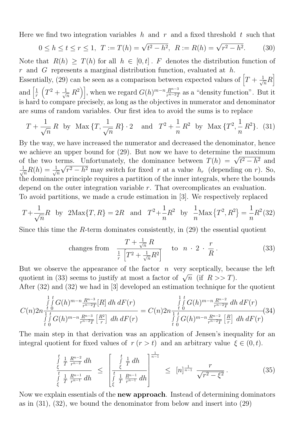Here we find two integration variables h and r and a fixed threshold t such that

$$
0 \le h \le t \le r \le 1, \ T := T(h) = \sqrt{t^2 - h^2}, \ R := R(h) = \sqrt{r^2 - h^2}.
$$
 (30)

Note that  $R(h) \geq T(h)$  for all  $h \in [0, t]$ . F denotes the distribution function of r and G represents a marginal distribution function, evaluated at  $h$ .

Essentially, (29) can be seen as a comparison between expected values of  $\left[T + \frac{1}{\sqrt{2}}\right]$  $\frac{1}{n}R$ and  $\left[\frac{1}{x}\right]$ r  $\left(T^2 + \frac{1}{\sqrt{2}}\right)$  $\left\{\overline{n} \; R^2\right\}$ , when we regard  $G(h)^{m-n} \frac{R^{n-3}}{r^{n-2}T}$  $\frac{R^{n-3}}{r^{n-2}T}$  as a "density function". But it is hard to compare precisely, as long as the objectives in numerator and denominator are sums of random variables. Our first idea to avoid the sums is to replace

$$
T + \frac{1}{\sqrt{n}} R
$$
 by Max  $\{T, \frac{1}{\sqrt{n}} R\} \cdot 2$  and  $T^2 + \frac{1}{n} R^2$  by Max  $\{T^2, \frac{1}{n} R^2\}$ . (31)

By the way, we have increased the numerator and decreased the denominator, hence we achieve an upper bound for (29). But now we have to determine the maximum we achieve an upper bound for (29). But now we have to determine the maximum<br>of the two terms. Unfortunately, the dominance between  $T(h) = \sqrt{t^2 - h^2}$  and  $\frac{1}{\sqrt{2}}$  $\frac{1}{n}R(h)=\frac{1}{\sqrt{2}}$  $\overline{n}$ ⊥⊔<br>∖  $r^2 - h^2$  may switch for fixed r at a value  $h_r$  (depending on r). So, the dominance principle requires a partition of the inner integrals, where the bounds depend on the outer integration variable r. That overcomplicates an evaluation. To avoid partitions, we made a crude estimation in [3]. We respectively replaced

$$
T + \frac{1}{\sqrt{n}}R
$$
 by  $2\text{Max}\{T, R\} = 2R$  and  $T^2 + \frac{1}{n}R^2$  by  $\frac{1}{n}\text{Max}\{T^2, R^2\} = \frac{1}{n}R^2(32)$ 

Since this time the R-term dominates consistently, in  $(29)$  the essential quotient

changes from 
$$
\frac{T + \frac{1}{\sqrt{n}} R}{\frac{1}{r} \left[ T^2 + \frac{1}{\sqrt{n}} R^2 \right]} \quad \text{to} \quad n \cdot 2 \cdot \frac{r}{R}.
$$
 (33)

But we observe the appearance of the factor  $n$  very sceptically, because the left But we observe the appearance of the factor *n* very sceptically, because quotient in (33) seems to justify at most a factor of  $\sqrt{n}$  (if  $R >> T$ ).

After (32) and (32) we had in [3] developed an estimation technique for the quotient

$$
C(n)2n_{\frac{t}{t}0}^{\frac{1}{j}t}G(h)^{m-n_{\frac{R^{n-3}}{r^{n-2}T}}[R]dh\,dF(r)}{\int\limits_{t}^{1}{\int\limits_{0}^{t}G(h)^{m-n_{\frac{R^{n-3}}{r^{n-2}T}}\left[\frac{R^2}{r}\right]dh\,dF(r)}} = C(n)2n_{\frac{t}{t}0}^{\frac{1}{j}t}G(h)^{m-n_{\frac{R^{n-2}}{r^{n-2}T}}\,dh\,dF(r)}\left(34\right)
$$
\n
$$
\int\limits_{t}^{1}{\int\limits_{0}^{t}G(h)^{m-n_{\frac{R^{n-2}}{r^{n-2}T}}\left[\frac{R}{r}\right]dh\,dF(r)}\left(34\right)
$$

The main step in that derivation was an application of Jensen's inequality for an integral quotient for fixed values of  $r (r > t)$  and an arbitrary value  $\xi \in (0, t)$ .

$$
\frac{\int_{\xi}^{t} \frac{1}{T} \frac{R^{n-2}}{r^{n-2}} dh}{\int_{\xi}^{t} \frac{1}{T} \frac{R^{n-1}}{r^{n-1}} dh} \le \left[ \frac{\int_{\xi}^{t} \frac{1}{T} dh}{\int_{\xi}^{t} \frac{1}{T} \frac{R^{n-1}}{r^{n-1}} dh} \right]^{\frac{1}{n-1}} \le [n]^{\frac{1}{n-1}} \frac{r}{\sqrt{r^2 - \xi^2}}.
$$
\n(35)

Now we explain essentials of the new approach. Instead of determining dominators as in (31), (32), we bound the denominator from below and insert into (29)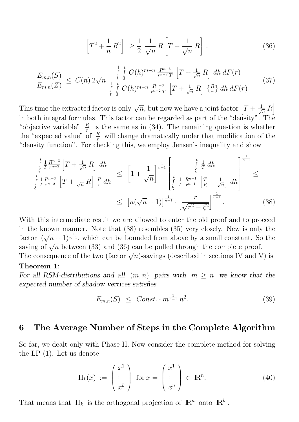$$
\left[T^2 + \frac{1}{n} R^2\right] \ge \frac{1}{2} \frac{1}{\sqrt{n}} R \left[T + \frac{1}{\sqrt{n}} R\right]. \tag{36}
$$

$$
\frac{E_{m,n}(S)}{E_{m,n}(Z)} \leq C(n) \, 2\sqrt{n} \, \frac{\int\limits_{t}^{1} \int\limits_{0}^{t} G(h)^{m-n} \frac{R^{n-3}}{r^{n-2}T} \left[T + \frac{1}{\sqrt{n}} R\right] \, dh \, dF(r)}{\int\limits_{t}^{1} \int\limits_{0}^{t} G(h)^{m-n} \frac{R^{n-3}}{r^{n-2}T} \left[T + \frac{1}{\sqrt{n}} R\right] \left\{\frac{R}{r}\right\} \, dh \, dF(r)} \tag{37}
$$

This time the extracted factor is only  $\sqrt{n}$ , but now we have a joint factor  $[T + \frac{1}{\sqrt{n}}]$  $\frac{1}{n}R$ in both integral formulas. This factor can be regarded as part of the "density". The "objective variable"  $\frac{R}{r}$  is the same as in (34). The remaining question is whether the "expected value" of  $\frac{R}{r}$  will change dramatically under that modification of the "density function". For checking this, we employ Jensen's inequality and show

$$
\frac{\int_{\xi}^{t} \frac{1}{T} \frac{R^{n-3}}{r^{n-2}} \left[ T + \frac{1}{\sqrt{n}} R \right] dh}{\int_{\xi}^{t} \frac{1}{T} \frac{R^{n-3}}{r^{n-2}} \left[ T + \frac{1}{\sqrt{n}} R \right] \frac{R}{r} dh} \leq \left[ 1 + \frac{1}{\sqrt{n}} \right]^{\frac{1}{n-1}} \left[ \frac{\int_{\xi}^{t} \frac{1}{T} dh}{\int_{\xi}^{t} \frac{1}{T} \frac{R^{n-1}}{r^{n-1}} \left[ \frac{T}{R} + \frac{1}{\sqrt{n}} \right] dh} \right]^{\frac{1}{n-1}} \leq
$$
\n
$$
\leq \left[ n(\sqrt{n} + 1) \right]^{\frac{1}{n-1}} \cdot \left[ \frac{r}{\sqrt{r^2 - \xi^2}} \right]^{\frac{1}{n-1}}. \tag{38}
$$

With this intermediate result we are allowed to enter the old proof and to proceed in the known manner. Note that (38) resembles (35) very closely. New is only the factor  $(\sqrt{n}+1)^{\frac{1}{n-1}}$ , which can be bounded from above by a small constant. So the saving of  $\sqrt{n}$  between (33) and (36) can be pulled through the complete proof.

Saving of  $\sqrt{n}$  between (35) and (36) can be puned through the complete proof.<br>The consequence of the two (factor  $\sqrt{n}$ )-savings (described in sections IV and V) is Theorem 1:

#### For all RSM-distributions and all  $(m, n)$  pairs with  $m \geq n$  we know that the expected number of shadow vertices satisfies

$$
E_{m,n}(S) \leq Const. \cdot m^{\frac{1}{n-1}} n^2. \tag{39}
$$

#### 6 The Average Number of Steps in the Complete Algorithm

So far, we dealt only with Phase II. Now consider the complete method for solving the LP (1). Let us denote

$$
\Pi_k(x) := \begin{pmatrix} x^1 \\ \vdots \\ x^k \end{pmatrix} \text{ for } x = \begin{pmatrix} x^1 \\ \vdots \\ x^n \end{pmatrix} \in \mathbb{R}^n.
$$
 (40)

That means that  $\Pi_k$  is the orthogonal projection of  $\mathbb{R}^n$  onto  $\mathbb{R}^k$ .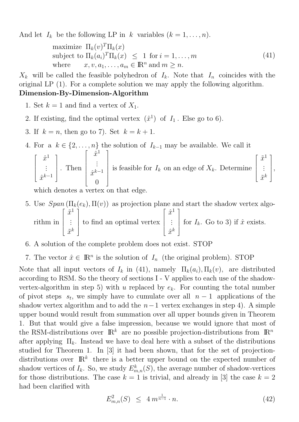And let  $I_k$  be the following LP in k variables  $(k = 1, \ldots, n)$ .

maximize  $\Pi_k(v)^T \Pi_k(x)$ subject to  $\Pi_k(a_i)^T \Pi_k(x) \leq 1$  for  $i = 1, \ldots, m$ where  $x, v, a_1, \ldots, a_m \in \mathbb{R}^n$  and  $m \geq n$ . (41)

 $X_k$  will be called the feasible polyhedron of  $I_k$ . Note that  $I_n$  coincides with the original LP (1). For a complete solution we may apply the following algorithm. Dimension-By-Dimension-Algorithm

- 1. Set  $k = 1$  and find a vertex of  $X_1$ .
- 2. If existing, find the optimal vertex  $(\hat{x}^1)$  of  $I_1$ . Else go to 6).
- 3. If  $k = n$ , then go to 7). Set  $k = k + 1$ .
- 4. For a  $k \in \{2, \ldots, n\}$  the solution of  $I_{k-1}$  may be available. We call it

$$
\begin{bmatrix} \hat{x}^1 \\ \vdots \\ \hat{x}^{k-1} \end{bmatrix}.
$$
 Then 
$$
\begin{bmatrix} \hat{x}^1 \\ \vdots \\ \hat{x}^{k-1} \\ 0 \end{bmatrix}
$$
 is feasible for  $I_k$  on an edge of  $X_k$ . Determine 
$$
\begin{bmatrix} \tilde{x}^1 \\ \vdots \\ \tilde{x}^k \end{bmatrix},
$$

which denotes a vertex on that edge.

- 5. Use  $Span(\Pi_k(e_k), \Pi(v))$  as projection plane and start the shadow vertex algorithm in  $\lceil$   $\tilde{x}^1$ . . .  $\tilde{x}^k$ 1 to find an optimal vertex  $\lceil$   $\hat{x}^1$ . . .  $\hat{x}^k$ 1  $\overline{\phantom{a}}$ for  $I_k$ . Go to 3) if  $\hat{x}$  exists.
- 6. A solution of the complete problem does not exist. STOP
- 7. The vector  $\hat{x} \in \mathbb{R}^n$  is the solution of  $I_n$  (the original problem). STOP

Note that all input vectors of  $I_k$  in (41), namely  $\Pi_k(a_i), \Pi_k(v)$ , are distributed according to RSM. So the theory of sections I - V applies to each use of the shadowvertex-algorithm in step 5) with u replaced by  $e_k$ . For counting the total number of pivot steps  $s_t$ , we simply have to cumulate over all  $n-1$  applications of the shadow vertex algorithm and to add the  $n-1$  vertex exchanges in step 4). A simple upper bound would result from summation over all upper bounds given in Theorem 1. But that would give a false impression, because we would ignore that most of the RSM-distributions over  $\mathbb{R}^k$  are no possible projection-distributions from  $\mathbb{R}^n$ after applying  $\Pi_k$ . Instead we have to deal here with a subset of the distributions studied for Theorem 1. In [3] it had been shown, that for the set of projectiondistributions over  $\mathbb{R}^k$  there is a better upper bound on the expected number of shadow vertices of  $I_k$ . So, we study  $E^k_{m,n}(S)$ , the average number of shadow-vertices for those distributions. The case  $k = 1$  is trivial, and already in [3] the case  $k = 2$ had been clarified with

$$
E_{m,n}^2(S) \le 4 m^{\frac{1}{n-1}} \cdot n. \tag{42}
$$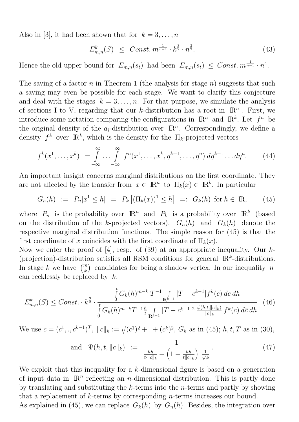Also in [3], it had been shown that for  $k = 3, \ldots, n$ 

$$
E_{m,n}^{k}(S) \leq Const. \, m^{\frac{1}{n-1}} \cdot k^{\frac{3}{2}} \cdot n^{\frac{3}{2}}.
$$
 (43)

Hence the old upper bound for  $E_{m,n}(s_t)$  had been  $E_{m,n}(s_t) \leq Const. m^{\frac{1}{n-1}} \cdot n^4$ .

The saving of a factor n in Theorem 1 (the analysis for stage  $n$ ) suggests that such a saving may even be possible for each stage. We want to clarify this conjecture and deal with the stages  $k = 3, \ldots, n$ . For that purpose, we simulate the analysis of sections I to V, regarding that our k-distribution has a root in  $\mathbb{R}^n$ . First, we introduce some notation comparing the configurations in  $\mathbb{R}^n$  and  $\mathbb{R}^k$ . Let  $f^n$  be the original density of the  $a_i$ -distribution over  $\mathbb{R}^n$ . Correspondingly, we define a density  $f^k$  over  $\mathbb{R}^k$ , which is the density for the  $\Pi_k$ -projected vectors

$$
f^{k}(x^{1},\ldots,x^{k}) = \int\limits_{-\infty}^{\infty} \ldots \int\limits_{-\infty}^{\infty} f^{n}(x^{1},\ldots,x^{k},\eta^{k+1},\ldots,\eta^{n}) d\eta^{k+1}\ldots d\eta^{n}.
$$
 (44)

An important insight concerns marginal distributions on the first coordinate. They are not affected by the transfer from  $x \in \mathbb{R}^n$  to  $\Pi_k(x) \in \mathbb{R}^k$ . In particular

$$
G_n(h) := P_n[x^1 \le h] = P_k [(\Pi_k(x))^1 \le h] =: G_k(h) \text{ for } h \in \mathbb{R}, \qquad (45)
$$

where  $P_n$  is the probability over  $\mathbb{R}^n$  and  $P_k$  is a probability over  $\mathbb{R}^k$  (based on the distribution of the k-projected vectors).  $G_n(h)$  and  $G_k(h)$  denote the respective marginal distribution functions. The simple reason for (45) is that the first coordinate of x coincides with the first coordinate of  $\Pi_k(x)$ .

Now we enter the proof of [4], resp. of (39) at an appropriate inequality. Our  $k$ -(projection)-distribution satisfies all RSM conditions for general  $\mathbb{R}^k$ -distributions. In stage  $k$  we have  $\binom{m}{k}$ ) candidates for being a shadow vertex. In our inequality  $n$ can recklessly be replaced by k.

$$
E_{m,n}^{k}(S) \leq Const. \cdot k^{\frac{3}{2}} \cdot \frac{\int\limits_{0}^{t} G_{k}(h)^{m-k} T^{-1} \int\limits_{\mathbb{R}^{k-1}} |T - c^{k-1}| f^{k}(c) d\bar{c} dh}{\int\limits_{0}^{t} G_{k}(h)^{m-k} T^{-1} \frac{h}{t} \int\limits_{\mathbb{R}^{k-1}} |T - c^{k-1}|^{2} \frac{\psi(h,t,||c||_{k})}{||c||_{k}} f^{k}(c) d\bar{c} dh}
$$
(46)

We use  $\bar{c} = (c^1,.,c^{k-1})^T$ ,  $||c||_k := \sqrt{(c^1)^2 + . + (c^k)^2}$ ,  $G_k$  as in (45);  $h, t, T$  as in (30),

and 
$$
\Psi(h, t, ||c||_k) := \frac{1}{\frac{hh}{t||c||_k} + \left(1 - \frac{hh}{t||c||_k}\right) \frac{1}{\sqrt{k}}}
$$
 (47)

We exploit that this inequality for a k-dimensional figure is based on a generation of input data in  $\mathbb{R}^n$  reflecting an *n*-dimensional distribution. This is partly done by translating and substituting the k-terms into the n-terms and partly by showing that a replacement of k-terms by corresponding n-terms increases our bound.

As explained in (45), we can replace  $G_k(h)$  by  $G_n(h)$ . Besides, the integration over